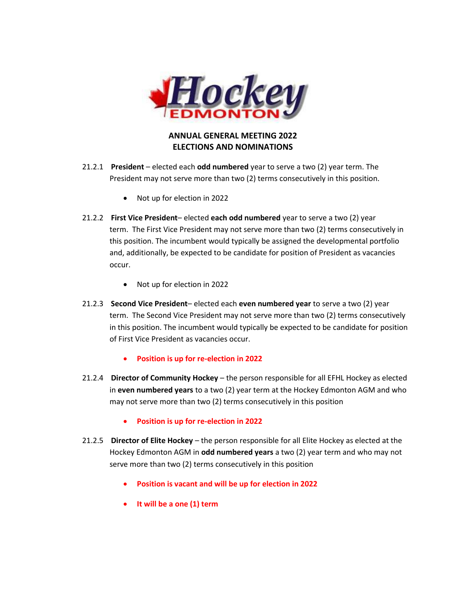

## **ANNUAL GENERAL MEETING 2022 ELECTIONS AND NOMINATIONS**

- 21.2.1 **President** elected each **odd numbered** year to serve a two (2) year term. The President may not serve more than two (2) terms consecutively in this position.
	- Not up for election in 2022
- 21.2.2 **First Vice President** elected **each odd numbered** year to serve a two (2) year term. The First Vice President may not serve more than two (2) terms consecutively in this position. The incumbent would typically be assigned the developmental portfolio and, additionally, be expected to be candidate for position of President as vacancies occur.
	- Not up for election in 2022
- 21.2.3 **Second Vice President** elected each **even numbered year** to serve a two (2) year term. The Second Vice President may not serve more than two (2) terms consecutively in this position. The incumbent would typically be expected to be candidate for position of First Vice President as vacancies occur.
	- **Position is up for re-election in 2022**
- 21.2.4 **Director of Community Hockey** the person responsible for all EFHL Hockey as elected in **even numbered years** to a two (2) year term at the Hockey Edmonton AGM and who may not serve more than two (2) terms consecutively in this position
	- **Position is up for re-election in 2022**
- 21.2.5 **Director of Elite Hockey** the person responsible for all Elite Hockey as elected at the Hockey Edmonton AGM in **odd numbered years** a two (2) year term and who may not serve more than two (2) terms consecutively in this position
	- **Position is vacant and will be up for election in 2022**
	- **It will be a one (1) term**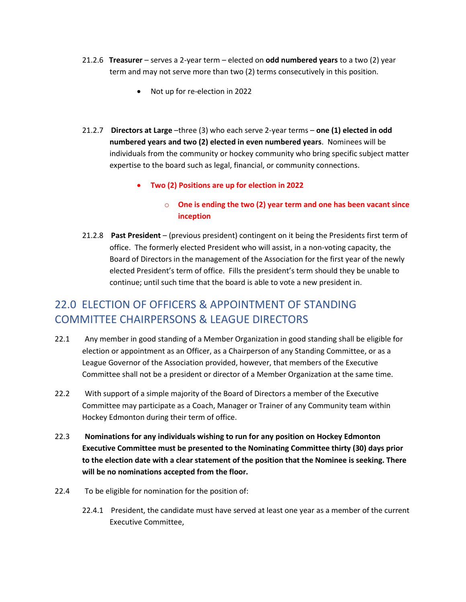- 21.2.6 **Treasurer** serves a 2-year term elected on **odd numbered years** to a two (2) year term and may not serve more than two (2) terms consecutively in this position.
	- Not up for re-election in 2022
- 21.2.7 **Directors at Large** –three (3) who each serve 2-year terms **one (1) elected in odd numbered years and two (2) elected in even numbered years**. Nominees will be individuals from the community or hockey community who bring specific subject matter expertise to the board such as legal, financial, or community connections.
	- **Two (2) Positions are up for election in 2022**

## o **One is ending the two (2) year term and one has been vacant since inception**

21.2.8 **Past President** – (previous president) contingent on it being the Presidents first term of office. The formerly elected President who will assist, in a non-voting capacity, the Board of Directors in the management of the Association for the first year of the newly elected President's term of office. Fills the president's term should they be unable to continue; until such time that the board is able to vote a new president in.

## 22.0 ELECTION OF OFFICERS & APPOINTMENT OF STANDING COMMITTEE CHAIRPERSONS & LEAGUE DIRECTORS

- 22.1 Any member in good standing of a Member Organization in good standing shall be eligible for election or appointment as an Officer, as a Chairperson of any Standing Committee, or as a League Governor of the Association provided, however, that members of the Executive Committee shall not be a president or director of a Member Organization at the same time.
- 22.2 With support of a simple majority of the Board of Directors a member of the Executive Committee may participate as a Coach, Manager or Trainer of any Community team within Hockey Edmonton during their term of office.
- 22.3 **Nominations for any individuals wishing to run for any position on Hockey Edmonton Executive Committee must be presented to the Nominating Committee thirty (30) days prior to the election date with a clear statement of the position that the Nominee is seeking. There will be no nominations accepted from the floor.**
- 22.4 To be eligible for nomination for the position of:
	- 22.4.1 President, the candidate must have served at least one year as a member of the current Executive Committee,